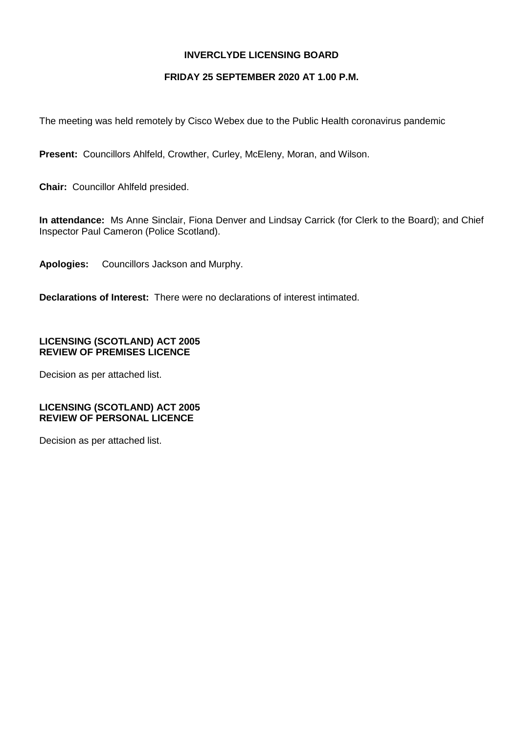### **INVERCLYDE LICENSING BOARD**

#### **FRIDAY 25 SEPTEMBER 2020 AT 1.00 P.M.**

The meeting was held remotely by Cisco Webex due to the Public Health coronavirus pandemic

**Present:** Councillors Ahlfeld, Crowther, Curley, McEleny, Moran, and Wilson.

**Chair:** Councillor Ahlfeld presided.

**In attendance:** Ms Anne Sinclair, Fiona Denver and Lindsay Carrick (for Clerk to the Board); and Chief Inspector Paul Cameron (Police Scotland).

**Apologies:** Councillors Jackson and Murphy.

**Declarations of Interest:** There were no declarations of interest intimated.

## **LICENSING (SCOTLAND) ACT 2005 REVIEW OF PREMISES LICENCE**

Decision as per attached list.

### **LICENSING (SCOTLAND) ACT 2005 REVIEW OF PERSONAL LICENCE**

Decision as per attached list.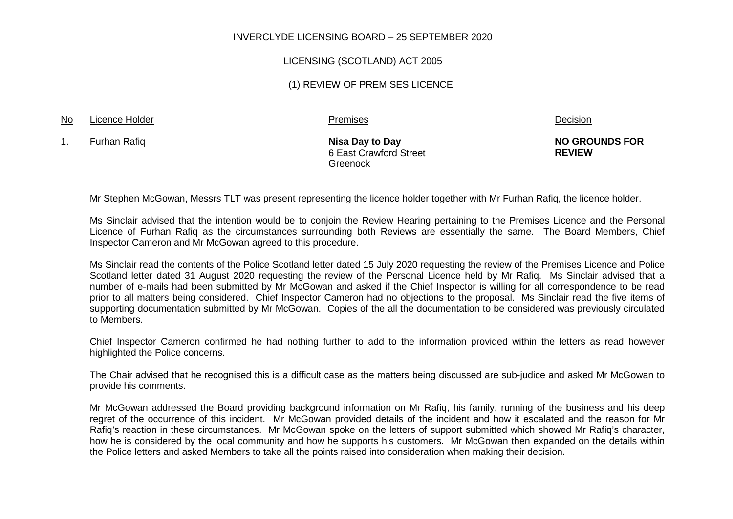#### INVERCLYDE LICENSING BOARD – 25 SEPTEMBER 2020

#### LICENSING (SCOTLAND) ACT 2005

#### (1) REVIEW OF PREMISES LICENCE

# No Licence Holder **Research Construction** Premises Premises Premises and Decision

1. Furhan Rafiq **Nisa Day to Day**

6 East Crawford Street Greenock

**NO GROUNDS FOR REVIEW**

Mr Stephen McGowan, Messrs TLT was present representing the licence holder together with Mr Furhan Rafiq, the licence holder.

Ms Sinclair advised that the intention would be to conjoin the Review Hearing pertaining to the Premises Licence and the Personal Licence of Furhan Rafiq as the circumstances surrounding both Reviews are essentially the same. The Board Members, Chief Inspector Cameron and Mr McGowan agreed to this procedure.

Ms Sinclair read the contents of the Police Scotland letter dated 15 July 2020 requesting the review of the Premises Licence and Police Scotland letter dated 31 August 2020 requesting the review of the Personal Licence held by Mr Rafiq. Ms Sinclair advised that a number of e-mails had been submitted by Mr McGowan and asked if the Chief Inspector is willing for all correspondence to be read prior to all matters being considered. Chief Inspector Cameron had no objections to the proposal. Ms Sinclair read the five items of supporting documentation submitted by Mr McGowan. Copies of the all the documentation to be considered was previously circulated to Members.

Chief Inspector Cameron confirmed he had nothing further to add to the information provided within the letters as read however highlighted the Police concerns.

The Chair advised that he recognised this is a difficult case as the matters being discussed are sub-judice and asked Mr McGowan to provide his comments.

Mr McGowan addressed the Board providing background information on Mr Rafig, his family, running of the business and his deep regret of the occurrence of this incident. Mr McGowan provided details of the incident and how it escalated and the reason for Mr Rafiq's reaction in these circumstances. Mr McGowan spoke on the letters of support submitted which showed Mr Rafiq's character, how he is considered by the local community and how he supports his customers. Mr McGowan then expanded on the details within the Police letters and asked Members to take all the points raised into consideration when making their decision.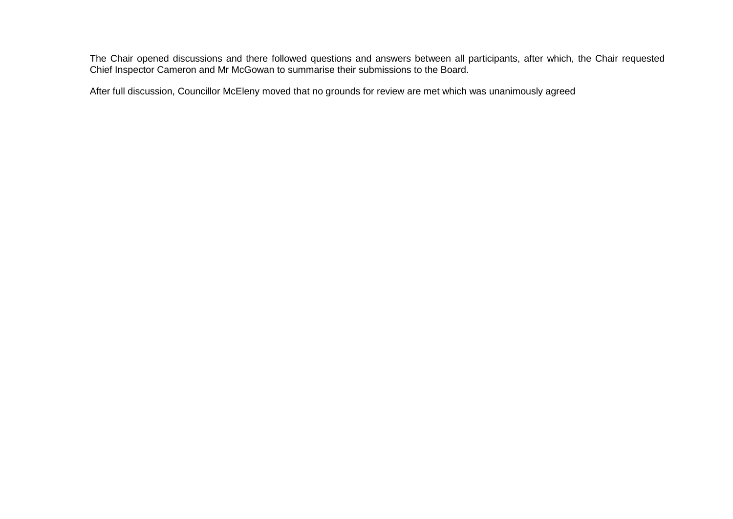The Chair opened discussions and there followed questions and answers between all participants, after which, the Chair requested Chief Inspector Cameron and Mr McGowan to summarise their submissions to the Board.

After full discussion, Councillor McEleny moved that no grounds for review are met which was unanimously agreed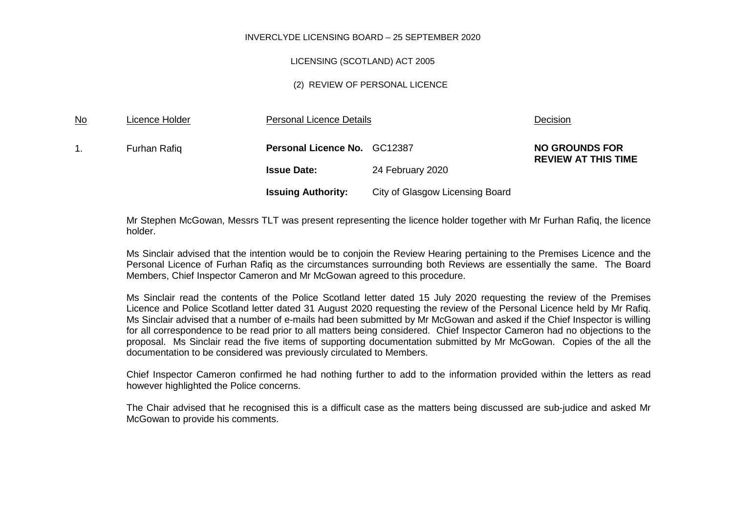#### INVERCLYDE LICENSING BOARD – 25 SEPTEMBER 2020

#### LICENSING (SCOTLAND) ACT 2005

#### (2) REVIEW OF PERSONAL LICENCE

| $\underline{\mathsf{No}}$ | Licence Holder | Personal Licence Details     |                                 | Decision                                            |
|---------------------------|----------------|------------------------------|---------------------------------|-----------------------------------------------------|
|                           | Furhan Rafiq   | Personal Licence No. GC12387 |                                 | <b>NO GROUNDS FOR</b><br><b>REVIEW AT THIS TIME</b> |
|                           |                | <b>Issue Date:</b>           | 24 February 2020                |                                                     |
|                           |                | <b>Issuing Authority:</b>    | City of Glasgow Licensing Board |                                                     |

Mr Stephen McGowan, Messrs TLT was present representing the licence holder together with Mr Furhan Rafiq, the licence holder.

Ms Sinclair advised that the intention would be to conjoin the Review Hearing pertaining to the Premises Licence and the Personal Licence of Furhan Rafiq as the circumstances surrounding both Reviews are essentially the same. The Board Members, Chief Inspector Cameron and Mr McGowan agreed to this procedure.

Ms Sinclair read the contents of the Police Scotland letter dated 15 July 2020 requesting the review of the Premises Licence and Police Scotland letter dated 31 August 2020 requesting the review of the Personal Licence held by Mr Rafiq. Ms Sinclair advised that a number of e-mails had been submitted by Mr McGowan and asked if the Chief Inspector is willing for all correspondence to be read prior to all matters being considered. Chief Inspector Cameron had no objections to the proposal. Ms Sinclair read the five items of supporting documentation submitted by Mr McGowan. Copies of the all the documentation to be considered was previously circulated to Members.

Chief Inspector Cameron confirmed he had nothing further to add to the information provided within the letters as read however highlighted the Police concerns.

The Chair advised that he recognised this is a difficult case as the matters being discussed are sub-judice and asked Mr McGowan to provide his comments.